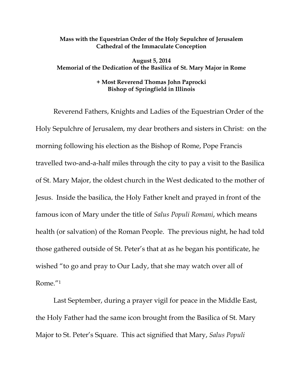## **Mass with the Equestrian Order of the Holy Sepulchre of Jerusalem Cathedral of the Immaculate Conception**

## **August 5, 2014 Memorial of the Dedication of the Basilica of St. Mary Major in Rome**

## **+ Most Reverend Thomas John Paprocki Bishop of Springfield in Illinois**

Reverend Fathers, Knights and Ladies of the Equestrian Order of the Holy Sepulchre of Jerusalem, my dear brothers and sisters in Christ: on the morning following his election as the Bishop of Rome, Pope Francis travelled two-and-a-half miles through the city to pay a visit to the Basilica of St. Mary Major, the oldest church in the West dedicated to the mother of Jesus. Inside the basilica, the Holy Father knelt and prayed in front of the famous icon of Mary under the title of *Salus Populi Romani*, which means health (or salvation) of the Roman People. The previous night, he had told those gathered outside of St. Peter's that at as he began his pontificate, he wished "to go and pray to Our Lady, that she may watch over all of Rome."1

Last September, during a prayer vigil for peace in the Middle East, the Holy Father had the same icon brought from the Basilica of St. Mary Major to St. Peter's Square. This act signified that Mary, *Salus Populi*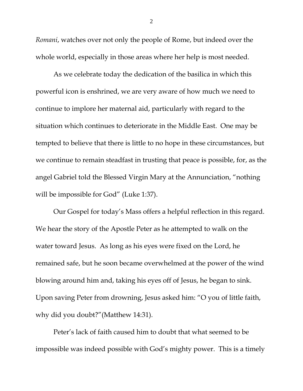*Romani*, watches over not only the people of Rome, but indeed over the whole world, especially in those areas where her help is most needed.

As we celebrate today the dedication of the basilica in which this powerful icon is enshrined, we are very aware of how much we need to continue to implore her maternal aid, particularly with regard to the situation which continues to deteriorate in the Middle East. One may be tempted to believe that there is little to no hope in these circumstances, but we continue to remain steadfast in trusting that peace is possible, for, as the angel Gabriel told the Blessed Virgin Mary at the Annunciation, "nothing will be impossible for God" (Luke 1:37).

Our Gospel for today's Mass offers a helpful reflection in this regard. We hear the story of the Apostle Peter as he attempted to walk on the water toward Jesus. As long as his eyes were fixed on the Lord, he remained safe, but he soon became overwhelmed at the power of the wind blowing around him and, taking his eyes off of Jesus, he began to sink. Upon saving Peter from drowning, Jesus asked him: "O you of little faith, why did you doubt?"(Matthew 14:31).

Peter's lack of faith caused him to doubt that what seemed to be impossible was indeed possible with God's mighty power. This is a timely

2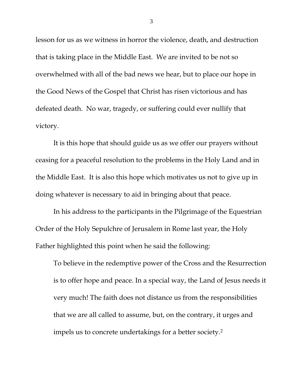lesson for us as we witness in horror the violence, death, and destruction that is taking place in the Middle East. We are invited to be not so overwhelmed with all of the bad news we hear, but to place our hope in the Good News of the Gospel that Christ has risen victorious and has defeated death. No war, tragedy, or suffering could ever nullify that victory.

It is this hope that should guide us as we offer our prayers without ceasing for a peaceful resolution to the problems in the Holy Land and in the Middle East. It is also this hope which motivates us not to give up in doing whatever is necessary to aid in bringing about that peace.

In his address to the participants in the Pilgrimage of the Equestrian Order of the Holy Sepulchre of Jerusalem in Rome last year, the Holy Father highlighted this point when he said the following:

To believe in the redemptive power of the Cross and the Resurrection is to offer hope and peace. In a special way, the Land of Jesus needs it very much! The faith does not distance us from the responsibilities that we are all called to assume, but, on the contrary, it urges and impels us to concrete undertakings for a better society.2

3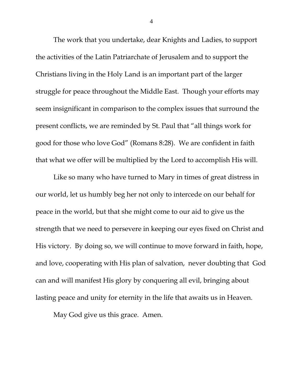The work that you undertake, dear Knights and Ladies, to support the activities of the Latin Patriarchate of Jerusalem and to support the Christians living in the Holy Land is an important part of the larger struggle for peace throughout the Middle East. Though your efforts may seem insignificant in comparison to the complex issues that surround the present conflicts, we are reminded by St. Paul that "all things work for good for those who love God" (Romans 8:28). We are confident in faith that what we offer will be multiplied by the Lord to accomplish His will.

Like so many who have turned to Mary in times of great distress in our world, let us humbly beg her not only to intercede on our behalf for peace in the world, but that she might come to our aid to give us the strength that we need to persevere in keeping our eyes fixed on Christ and His victory. By doing so, we will continue to move forward in faith, hope, and love, cooperating with His plan of salvation, never doubting that God can and will manifest His glory by conquering all evil, bringing about lasting peace and unity for eternity in the life that awaits us in Heaven.

May God give us this grace. Amen.

4